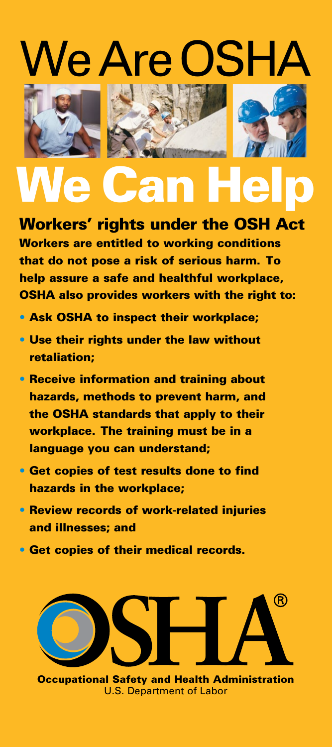# Je Are OSH







# **Wan**

# Workers' rights under the OSH Act Workers are entitled to working conditions that do not pose a risk of serious harm. To help assure a safe and healthful workplace,

OSHA also provides workers with the right to:

- Ask OSHA to inspect their workplace;
- Use their rights under the law without retaliation;
- Receive information and training about hazards, methods to prevent harm, and the OSHA standards that apply to their workplace. The training must be in a language you can understand;
- Get copies of test results done to find hazards in the workplace;
- Review records of work-related injuries and illnesses; and
- Get copies of their medical records.



Occupational Safety and Health Administration U.S. Department of Labor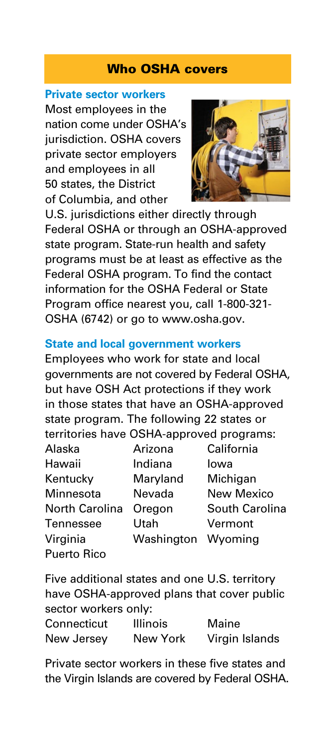#### Who OSHA covers

#### **Private sector workers**

Most employees in the nation come under OSHA's jurisdiction. OSHA covers private sector employers and employees in all 50 states, the District of Columbia, and other



U.S. jurisdictions either directly through Federal OSHA or through an OSHA-approved state program. State-run health and safety programs must be at least as effective as the Federal OSHA program. To find the contact information for the OSHA Federal or State Program office nearest you, call 1-800-321- OSHA (6742) or go to [www.osha.gov.](www.osha.gov)

#### **State and local government workers**

Employees who work for state and local governments are not covered by Federal OSHA, but have OSH Act protections if they work in those states that have an OSHA-approved state program. The following 22 states or territories have OSHA-approved programs:

| Alaska         | Arizona    | California     |
|----------------|------------|----------------|
| Hawaii         | Indiana    | Iowa           |
| Kentucky       | Maryland   | Michigan       |
| Minnesota      | Nevada     | New Mexico     |
| North Carolina | Oregon     | South Carolina |
| Tennessee      | Utah       | Vermont        |
| Virginia       | Washington | Wyoming        |
| Puerto Rico    |            |                |

Five additional states and one U.S. territory have OSHA-approved plans that cover public sector workers only: Connecticut Illinois Maine

New Jersey New York Virgin Islands

Private sector workers in these five states and the Virgin Islands are covered by Federal OSHA.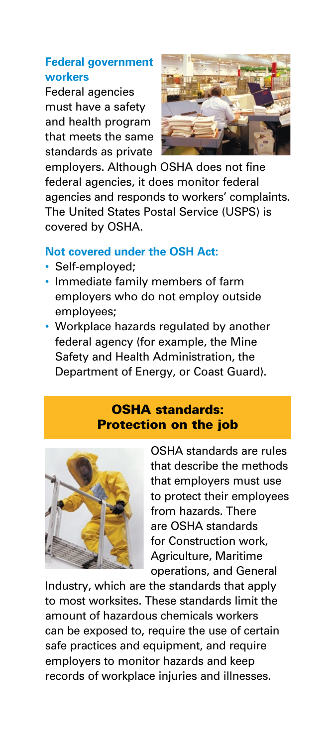### **Federal government workers**

Federal agencies must have a safety and health program that meets the same standards as private



employers. Although OSHA does not fine federal agencies, it does monitor federal agencies and responds to workers' complaints. The United States Postal Service (USPS) is covered by OSHA.

#### **Not covered under the OSH Act:**

- Self-employed;
- Immediate family members of farm employers who do not employ outside employees;
- Workplace hazards regulated by another federal agency (for example, the Mine Safety and Health Administration, the Department of Energy, or Coast Guard).

#### OSHA standards: Protection on the job



OSHA standards are rules that describe the methods that employers must use to protect their employees from hazards. There are OSHA standards for Construction work, Agriculture, Maritime operations, and General

Industry, which are the standards that apply to most worksites. These standards limit the amount of hazardous chemicals workers can be exposed to, require the use of certain safe practices and equipment, and require employers to monitor hazards and keep records of workplace injuries and illnesses.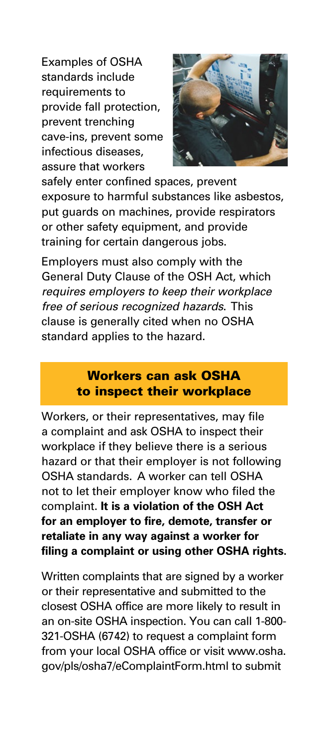Examples of OSHA standards include requirements to provide fall protection, prevent trenching cave-ins, prevent some infectious diseases, assure that workers



safely enter confined spaces, prevent exposure to harmful substances like asbestos, put guards on machines, provide respirators or other safety equipment, and provide training for certain dangerous jobs.

Employers must also comply with the General Duty Clause of the OSH Act, which *requires employers to keep their workplace free of serious recognized hazards*. This clause is generally cited when no OSHA standard applies to the hazard.

#### Workers can ask OSHA to inspect their workplace

Workers, or their representatives, may file a complaint and ask OSHA to inspect their workplace if they believe there is a serious hazard or that their employer is not following OSHA standards. A worker can tell OSHA not to let their employer know who filed the complaint. **It is a violation of the OSH Act for an employer to fire, demote, transfer or retaliate in any way against a worker for filing a complaint or using other OSHA rights.**

Written complaints that are signed by a worker or their representative and submitted to the closest OSHA office are more likely to result in an on-site OSHA inspection. You can call 1-800- 321-OSHA (6742) to request a complaint form from your local OSHA office or visit [www.osha.](www.osha.gov/pls/osha7/eComplaintForm.html) [gov/pls/osha7/eComplaintForm.html](www.osha.gov/pls/osha7/eComplaintForm.html) to submit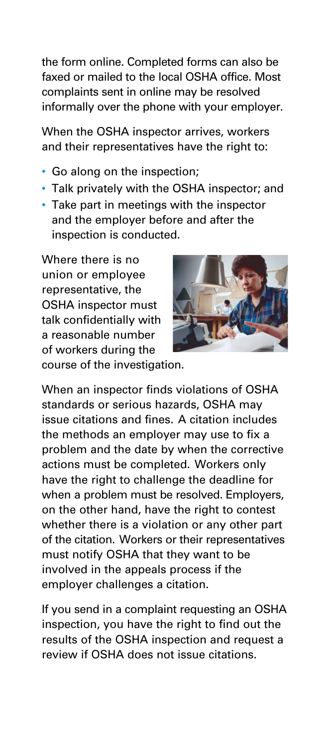the form online. Completed forms can also be faxed or mailed to the local OSHA office. Most complaints sent in online may be resolved informally over the phone with your employer.

When the OSHA inspector arrives, workers and their representatives have the right to:

- Go along on the inspection;
- Talk privately with the OSHA inspector; and
- Take part in meetings with the inspector and the employer before and after the inspection is conducted.

Where there is no union or employee representative, the OSHA inspector must talk confidentially with a reasonable number of workers during the



course of the investigation.

When an inspector finds violations of OSHA standards or serious hazards, OSHA may issue citations and fines. A citation includes the methods an employer may use to fix a problem and the date by when the corrective actions must be completed. Workers only have the right to challenge the deadline for when a problem must be resolved. Employers, on the other hand, have the right to contest whether there is a violation or any other part of the citation. Workers or their representatives must notify OSHA that they want to be involved in the appeals process if the employer challenges a citation.

If you send in a complaint requesting an OSHA inspection, you have the right to find out the results of the OSHA inspection and request a review if OSHA does not issue citations.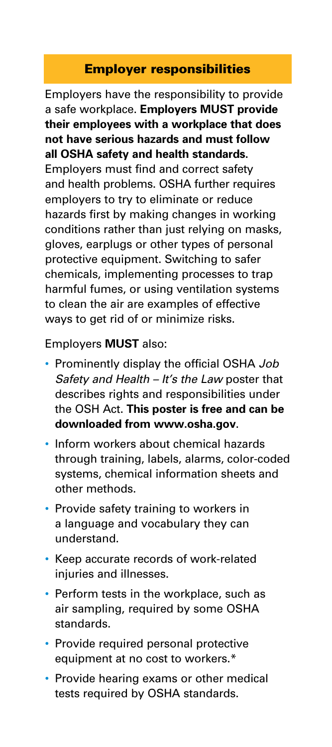#### Employer responsibilities

Employers have the responsibility to provide a safe workplace. **Employers MUST provide their employees with a workplace that does not have serious hazards and must follow all OSHA safety and health standards.** Employers must find and correct safety and health problems. OSHA further requires employers to try to eliminate or reduce hazards first by making changes in working conditions rather than just relying on masks, gloves, earplugs or other types of personal protective equipment. Switching to safer chemicals, implementing processes to trap harmful fumes, or using ventilation systems to clean the air are examples of effective ways to get rid of or minimize risks.

Employers **MUST** also:

- Prominently display the official OSHA *Job Safety and Health – It's the Law* poster that describes rights and responsibilities under the OSH Act. **This poster is free and can be downloaded from www.osha.gov**.
- Inform workers about chemical hazards through training, labels, alarms, color-coded systems, chemical information sheets and other methods.
- Provide safety training to workers in a language and vocabulary they can understand.
- Keep accurate records of work-related injuries and illnesses.
- Perform tests in the workplace, such as air sampling, required by some OSHA standards.
- Provide required personal protective equipment at no cost to workers.\*
- Provide hearing exams or other medical tests required by OSHA standards.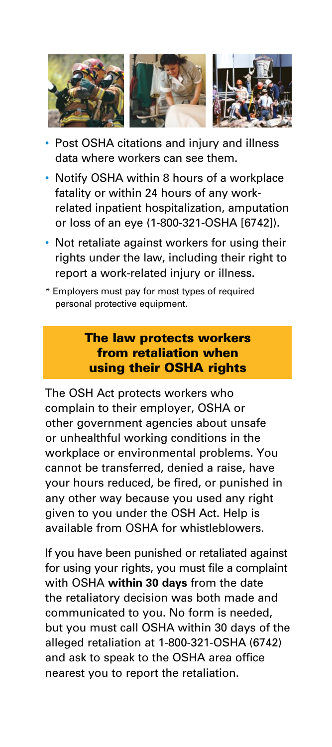

- Post OSHA citations and injury and illness data where workers can see them.
- Notify OSHA within 8 hours of a workplace fatality or within 24 hours of any workrelated inpatient hospitalization, amputation or loss of an eye (1-800-321-OSHA [6742]).
- Not retaliate against workers for using their rights under the law, including their right to report a work-related injury or illness.
- \* Employers must pay for most types of required personal protective equipment.

#### The law protects workers from retaliation when using their OSHA rights

The OSH Act protects workers who complain to their employer, OSHA or other government agencies about unsafe or unhealthful working conditions in the workplace or environmental problems. You cannot be transferred, denied a raise, have your hours reduced, be fired, or punished in any other way because you used any right given to you under the OSH Act. Help is available from OSHA for whistleblowers.

If you have been punished or retaliated against for using your rights, you must file a complaint with OSHA **within 30 days** from the date the retaliatory decision was both made and communicated to you. No form is needed, but you must call OSHA within 30 days of the alleged retaliation at 1-800-321-OSHA (6742) and ask to speak to the OSHA area office nearest you to report the retaliation.